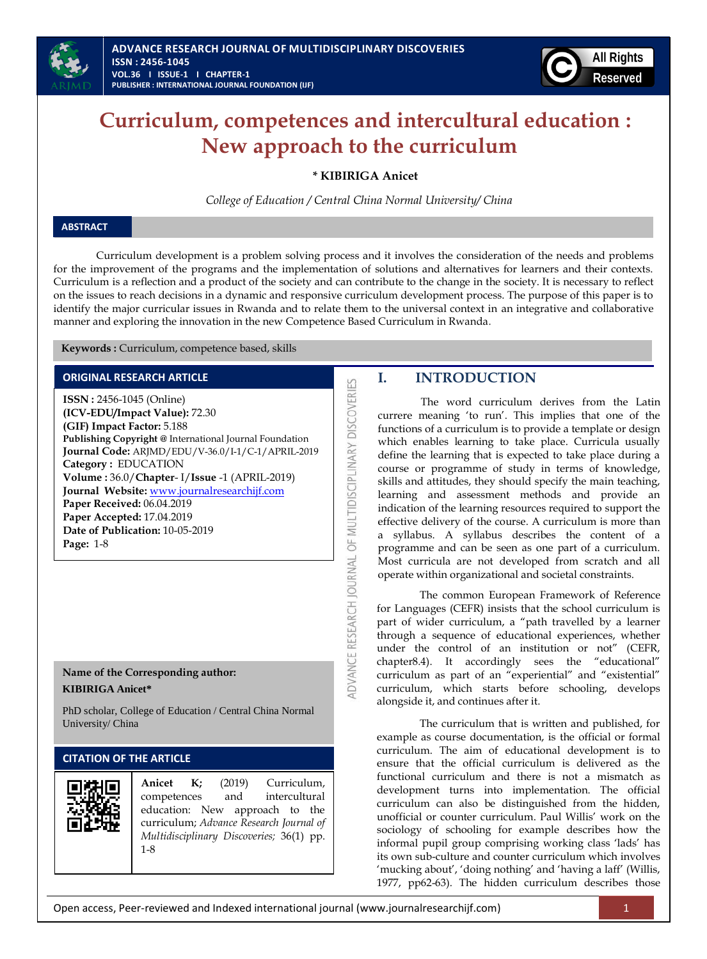

# **Curriculum, competences and intercultural education : New approach to the curriculum**

**\* KIBIRIGA Anicet**

*College of Education / Central China Normal University/ China*

## **ABSTRACT**

Curriculum development is a problem solving process and it involves the consideration of the needs and problems for the improvement of the programs and the implementation of solutions and alternatives for learners and their contexts. Curriculum is a reflection and a product of the society and can contribute to the change in the society. It is necessary to reflect on the issues to reach decisions in a dynamic and responsive curriculum development process. The purpose of this paper is to identify the major curricular issues in Rwanda and to relate them to the universal context in an integrative and collaborative manner and exploring the innovation in the new Competence Based Curriculum in Rwanda*.* 

**IDVANCE RESEARCH JOURNAL OF MULTIDISCIPLINARY DISCOVERIES** 

 **Keywords :** Curriculum, competence based, skills

## **ORIGINAL RESEARCH ARTICLE**

**ISSN :** 2456-1045 (Online) **(ICV-EDU/Impact Value):** 72.30 **(GIF) Impact Factor:** 5.188 **Publishing Copyright @** International Journal Foundation **Journal Code:** ARJMD/EDU/V-36.0/I-1/C-1/APRIL-2019 **Category :** EDUCATION **Volume :** 36.0/**Chapter**- I/**Issue** -1 (APRIL-2019) **Journal Website:** [www.journalresearchijf.com](http://www.journalresearchijf.com/) **Paper Received:** 06.04.2019 **Paper Accepted:** 17.04.2019 **Date of Publication:** 10-05-2019 **Page:** 1-8

## **Name of the Corresponding author: KIBIRIGA Anicet\***

PhD scholar, College of Education / Central China Normal University/ China

## **CITATION OF THE ARTICLE**

|  | <b>Anicet K;</b> (2019)<br>$1 - 8$ |  |  | Curriculum,<br>competences and intercultural<br>education: New approach to the<br>curriculum; Advance Research Journal of<br>Multidisciplinary Discoveries; 36(1) pp. |  |
|--|------------------------------------|--|--|-----------------------------------------------------------------------------------------------------------------------------------------------------------------------|--|
|--|------------------------------------|--|--|-----------------------------------------------------------------------------------------------------------------------------------------------------------------------|--|

# **I. INTRODUCTION**

The word curriculum derives from the Latin currere meaning "to run". This implies that one of the functions of a curriculum is to provide a template or design which enables learning to take place. Curricula usually define the learning that is expected to take place during a course or programme of study in terms of knowledge, skills and attitudes, they should specify the main teaching, learning and assessment methods and provide an indication of the learning resources required to support the effective delivery of the course. A curriculum is more than a syllabus. A syllabus describes the content of a programme and can be seen as one part of a curriculum. Most curricula are not developed from scratch and all operate within organizational and societal constraints.

The common European Framework of Reference for Languages (CEFR) insists that the school curriculum is part of wider curriculum, a "path travelled by a learner through a sequence of educational experiences, whether under the control of an institution or not" (CEFR, chapter8.4). It accordingly sees the "educational" curriculum as part of an "experiential" and "existential" curriculum, which starts before schooling, develops alongside it, and continues after it.

The curriculum that is written and published, for example as course documentation, is the official or formal curriculum. The aim of educational development is to ensure that the official curriculum is delivered as the functional curriculum and there is not a mismatch as development turns into implementation. The official curriculum can also be distinguished from the hidden, unofficial or counter curriculum. Paul Willis" work on the sociology of schooling for example describes how the informal pupil group comprising working class "lads" has its own sub-culture and counter curriculum which involves 'mucking about', 'doing nothing' and 'having a laff' (Willis, 1977, pp62-63). The hidden curriculum describes those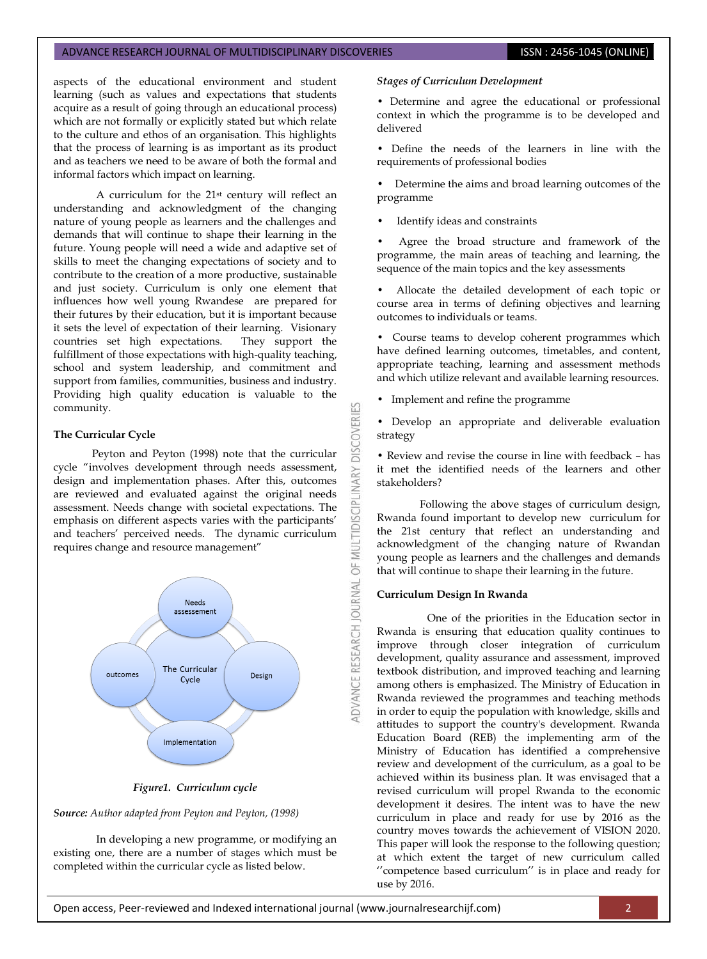aspects of the educational environment and student learning (such as values and expectations that students acquire as a result of going through an educational process) which are not formally or explicitly stated but which relate to the culture and ethos of an organisation. This highlights that the process of learning is as important as its product and as teachers we need to be aware of both the formal and informal factors which impact on learning.

A curriculum for the 21st century will reflect an understanding and acknowledgment of the changing nature of young people as learners and the challenges and demands that will continue to shape their learning in the future. Young people will need a wide and adaptive set of skills to meet the changing expectations of society and to contribute to the creation of a more productive, sustainable and just society. Curriculum is only one element that influences how well young Rwandese are prepared for their futures by their education, but it is important because it sets the level of expectation of their learning. Visionary countries set high expectations. They support the fulfillment of those expectations with high-quality teaching, school and system leadership, and commitment and support from families, communities, business and industry. Providing high quality education is valuable to the community.

#### **The Curricular Cycle**

Peyton and Peyton (1998) note that the curricular cycle "involves development through needs assessment, design and implementation phases. After this, outcomes are reviewed and evaluated against the original needs assessment. Needs change with societal expectations. The emphasis on different aspects varies with the participants' and teachers" perceived needs. The dynamic curriculum requires change and resource management"



#### *Figure1. Curriculum cycle*

#### *Source: Author adapted from Peyton and Peyton, (1998)*

In developing a new programme, or modifying an existing one, there are a number of stages which must be completed within the curricular cycle as listed below.

#### *Stages of Curriculum Development*

• Determine and agree the educational or professional context in which the programme is to be developed and delivered

• Define the needs of the learners in line with the requirements of professional bodies

• Determine the aims and broad learning outcomes of the programme

Identify ideas and constraints

Agree the broad structure and framework of the programme, the main areas of teaching and learning, the sequence of the main topics and the key assessments

• Allocate the detailed development of each topic or course area in terms of defining objectives and learning outcomes to individuals or teams.

• Course teams to develop coherent programmes which have defined learning outcomes, timetables, and content, appropriate teaching, learning and assessment methods and which utilize relevant and available learning resources.

• Implement and refine the programme

K

**DISCOVERI** 

INARY

OF MULTIDISCIPLI

DVANCE RESEARCH JOURNAL

• Develop an appropriate and deliverable evaluation strategy

• Review and revise the course in line with feedback – has it met the identified needs of the learners and other stakeholders?

Following the above stages of curriculum design, Rwanda found important to develop new curriculum for the 21st century that reflect an understanding and acknowledgment of the changing nature of Rwandan young people as learners and the challenges and demands that will continue to shape their learning in the future.

#### **Curriculum Design In Rwanda**

One of the priorities in the Education sector in Rwanda is ensuring that education quality continues to improve through closer integration of curriculum development, quality assurance and assessment, improved textbook distribution, and improved teaching and learning among others is emphasized. The Ministry of Education in Rwanda reviewed the programmes and teaching methods in order to equip the population with knowledge, skills and attitudes to support the country's development. Rwanda Education Board (REB) the implementing arm of the Ministry of Education has identified a comprehensive review and development of the curriculum, as a goal to be achieved within its business plan. It was envisaged that a revised curriculum will propel Rwanda to the economic development it desires. The intent was to have the new curriculum in place and ready for use by 2016 as the country moves towards the achievement of VISION 2020. This paper will look the response to the following question; at which extent the target of new curriculum called "competence based curriculum" is in place and ready for use by 2016.

Open access, Peer-reviewed and Indexed international journal (www.journalresearchijf.com) 2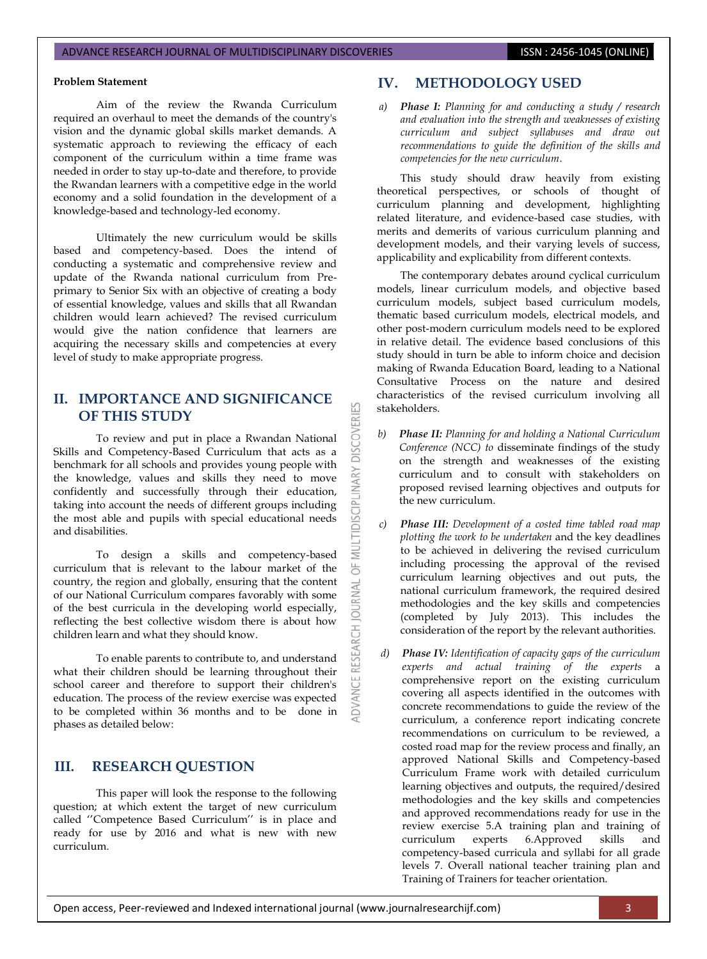#### **Problem Statement**

Aim of the review the Rwanda Curriculum required an overhaul to meet the demands of the country's vision and the dynamic global skills market demands. A systematic approach to reviewing the efficacy of each component of the curriculum within a time frame was needed in order to stay up-to-date and therefore, to provide the Rwandan learners with a competitive edge in the world economy and a solid foundation in the development of a knowledge-based and technology-led economy.

Ultimately the new curriculum would be skills based and competency-based. Does the intend of conducting a systematic and comprehensive review and update of the Rwanda national curriculum from Preprimary to Senior Six with an objective of creating a body of essential knowledge, values and skills that all Rwandan children would learn achieved? The revised curriculum would give the nation confidence that learners are acquiring the necessary skills and competencies at every level of study to make appropriate progress.

# **II. IMPORTANCE AND SIGNIFICANCE OF THIS STUDY**

53

**DISCOVERI** 

**IDISCIPLINARY** 

MUI  $\overline{6}$ 

DVANCE RESEARCH JOURNAL

To review and put in place a Rwandan National Skills and Competency-Based Curriculum that acts as a benchmark for all schools and provides young people with the knowledge, values and skills they need to move confidently and successfully through their education, taking into account the needs of different groups including the most able and pupils with special educational needs and disabilities.

To design a skills and competency-based curriculum that is relevant to the labour market of the country, the region and globally, ensuring that the content of our National Curriculum compares favorably with some of the best curricula in the developing world especially, reflecting the best collective wisdom there is about how children learn and what they should know.

To enable parents to contribute to, and understand what their children should be learning throughout their school career and therefore to support their children's education. The process of the review exercise was expected to be completed within 36 months and to be done in phases as detailed below:

## **III. RESEARCH QUESTION**

This paper will look the response to the following question; at which extent the target of new curriculum called "Competence Based Curriculum" is in place and ready for use by 2016 and what is new with new curriculum.

## **IV. METHODOLOGY USED**

*a) Phase I: Planning for and conducting a study / research and evaluation into the strength and weaknesses of existing curriculum and subject syllabuses and draw out recommendations to guide the definition of the skills and competencies for the new curriculum*.

This study should draw heavily from existing theoretical perspectives, or schools of thought of curriculum planning and development, highlighting related literature, and evidence-based case studies, with merits and demerits of various curriculum planning and development models, and their varying levels of success, applicability and explicability from different contexts.

The contemporary debates around cyclical curriculum models, linear curriculum models, and objective based curriculum models, subject based curriculum models, thematic based curriculum models, electrical models, and other post-modern curriculum models need to be explored in relative detail. The evidence based conclusions of this study should in turn be able to inform choice and decision making of Rwanda Education Board, leading to a National Consultative Process on the nature and desired characteristics of the revised curriculum involving all stakeholders.

- *b) Phase II: Planning for and holding a National Curriculum Conference (NCC) to* disseminate findings of the study on the strength and weaknesses of the existing curriculum and to consult with stakeholders on proposed revised learning objectives and outputs for the new curriculum.
- *c) Phase III: Development of a costed time tabled road map plotting the work to be undertaken* and the key deadlines to be achieved in delivering the revised curriculum including processing the approval of the revised curriculum learning objectives and out puts, the national curriculum framework, the required desired methodologies and the key skills and competencies (completed by July 2013). This includes the consideration of the report by the relevant authorities.
- *d) Phase IV: Identification of capacity gaps of the curriculum experts and actual training of the experts* a comprehensive report on the existing curriculum covering all aspects identified in the outcomes with concrete recommendations to guide the review of the curriculum, a conference report indicating concrete recommendations on curriculum to be reviewed, a costed road map for the review process and finally, an approved National Skills and Competency-based Curriculum Frame work with detailed curriculum learning objectives and outputs, the required/desired methodologies and the key skills and competencies and approved recommendations ready for use in the review exercise 5.A training plan and training of curriculum experts 6.Approved skills and competency-based curricula and syllabi for all grade levels 7. Overall national teacher training plan and Training of Trainers for teacher orientation.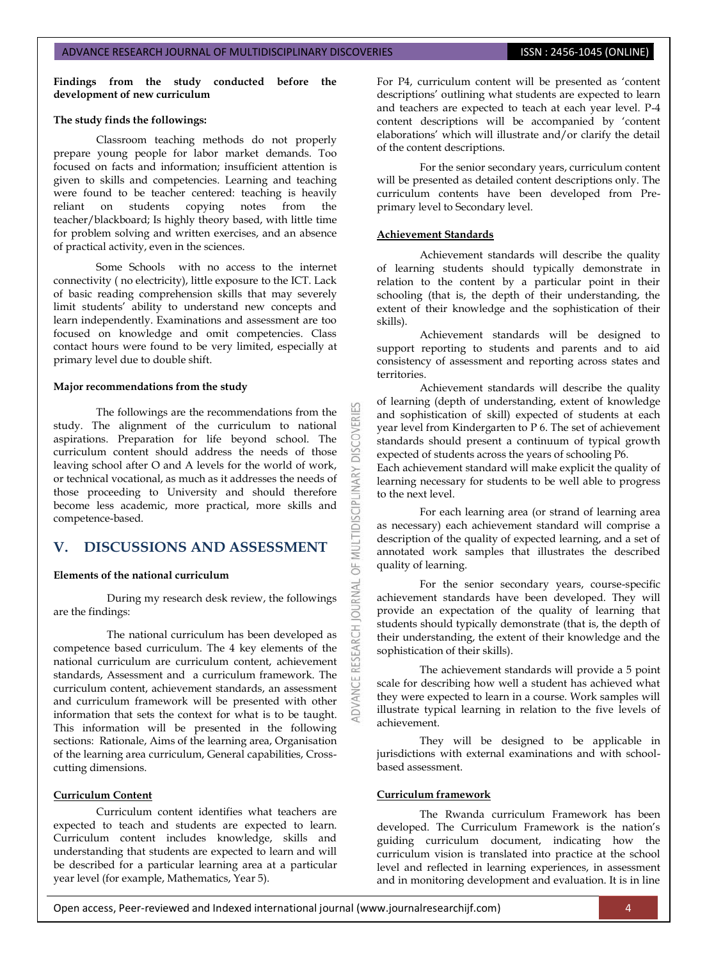**Findings from the study conducted before the development of new curriculum** 

#### **The study finds the followings:**

Classroom teaching methods do not properly prepare young people for labor market demands. Too focused on facts and information; insufficient attention is given to skills and competencies. Learning and teaching were found to be teacher centered: teaching is heavily reliant on students copying notes from the reliant on students copying notes from the teacher/blackboard; Is highly theory based, with little time for problem solving and written exercises, and an absence of practical activity, even in the sciences.

Some Schools with no access to the internet connectivity ( no electricity), little exposure to the ICT. Lack of basic reading comprehension skills that may severely limit students" ability to understand new concepts and learn independently. Examinations and assessment are too focused on knowledge and omit competencies. Class contact hours were found to be very limited, especially at primary level due to double shift.

#### **Major recommendations from the study**

The followings are the recommendations from the study. The alignment of the curriculum to national aspirations. Preparation for life beyond school. The curriculum content should address the needs of those leaving school after O and A levels for the world of work, or technical vocational, as much as it addresses the needs of those proceeding to University and should therefore become less academic, more practical, more skills and competence-based.

## **V. DISCUSSIONS AND ASSESSMENT**

#### **Elements of the national curriculum**

During my research desk review, the followings are the findings:

The national curriculum has been developed as competence based curriculum. The 4 key elements of the national curriculum are curriculum content, achievement standards, Assessment and a curriculum framework. The curriculum content, achievement standards, an assessment and curriculum framework will be presented with other information that sets the context for what is to be taught. This information will be presented in the following sections: Rationale, Aims of the learning area, Organisation of the learning area curriculum, General capabilities, Crosscutting dimensions.

### **Curriculum Content**

Curriculum content identifies what teachers are expected to teach and students are expected to learn. Curriculum content includes knowledge, skills and understanding that students are expected to learn and will be described for a particular learning area at a particular year level (for example, Mathematics, Year 5).

For P4, curriculum content will be presented as "content descriptions" outlining what students are expected to learn and teachers are expected to teach at each year level. P-4 content descriptions will be accompanied by "content elaborations' which will illustrate and/or clarify the detail of the content descriptions.

For the senior secondary years, curriculum content will be presented as detailed content descriptions only. The curriculum contents have been developed from Preprimary level to Secondary level.

#### **Achievement Standards**

53

OF MULTIDISCIPLINARY

**OURNAL** 

Achievement standards will describe the quality of learning students should typically demonstrate in relation to the content by a particular point in their schooling (that is, the depth of their understanding, the extent of their knowledge and the sophistication of their skills).

Achievement standards will be designed to support reporting to students and parents and to aid consistency of assessment and reporting across states and territories.

Achievement standards will describe the quality of learning (depth of understanding, extent of knowledge and sophistication of skill) expected of students at each year level from Kindergarten to P 6. The set of achievement standards should present a continuum of typical growth expected of students across the years of schooling P6.

Each achievement standard will make explicit the quality of learning necessary for students to be well able to progress to the next level.

For each learning area (or strand of learning area as necessary) each achievement standard will comprise a description of the quality of expected learning, and a set of annotated work samples that illustrates the described quality of learning.

For the senior secondary years, course-specific achievement standards have been developed. They will provide an expectation of the quality of learning that students should typically demonstrate (that is, the depth of their understanding, the extent of their knowledge and the sophistication of their skills).

The achievement standards will provide a 5 point scale for describing how well a student has achieved what they were expected to learn in a course. Work samples will illustrate typical learning in relation to the five levels of achievement.

They will be designed to be applicable in jurisdictions with external examinations and with schoolbased assessment.

#### **Curriculum framework**

The Rwanda curriculum Framework has been developed. The Curriculum Framework is the nation's guiding curriculum document, indicating how the curriculum vision is translated into practice at the school level and reflected in learning experiences, in assessment and in monitoring development and evaluation. It is in line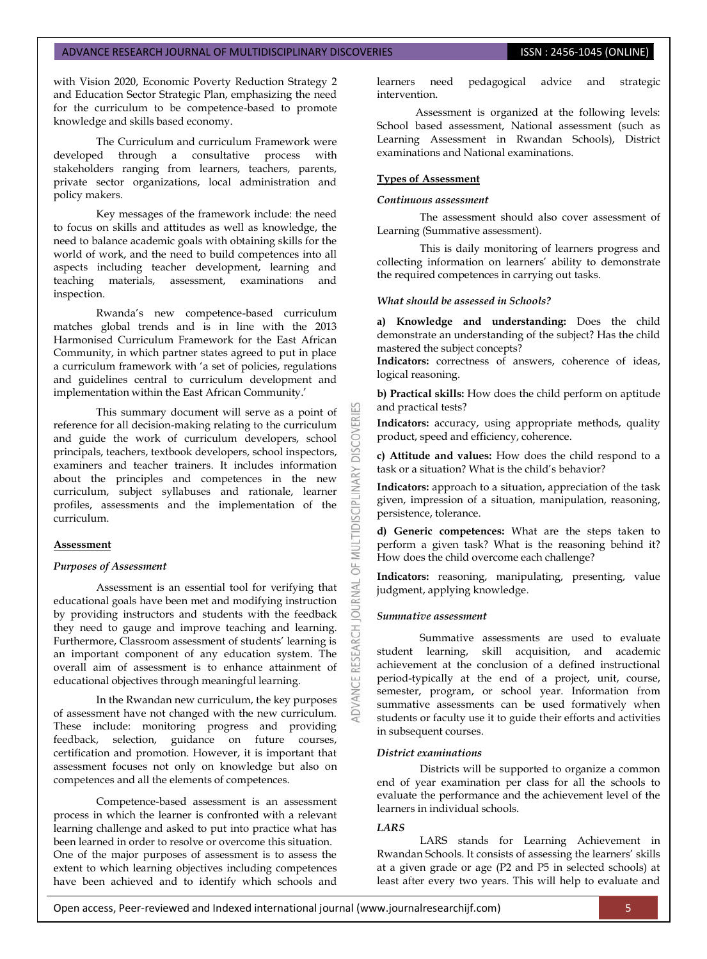with Vision 2020, Economic Poverty Reduction Strategy 2 and Education Sector Strategic Plan, emphasizing the need for the curriculum to be competence-based to promote knowledge and skills based economy.

The Curriculum and curriculum Framework were developed through a consultative process with stakeholders ranging from learners, teachers, parents, private sector organizations, local administration and policy makers.

Key messages of the framework include: the need to focus on skills and attitudes as well as knowledge, the need to balance academic goals with obtaining skills for the world of work, and the need to build competences into all aspects including teacher development, learning and teaching materials, assessment, examinations and inspection.

Rwanda"s new competence-based curriculum matches global trends and is in line with the 2013 Harmonised Curriculum Framework for the East African Community, in which partner states agreed to put in place a curriculum framework with "a set of policies, regulations and guidelines central to curriculum development and implementation within the East African Community.'

This summary document will serve as a point of reference for all decision-making relating to the curriculum and guide the work of curriculum developers, school principals, teachers, textbook developers, school inspectors, examiners and teacher trainers. It includes information about the principles and competences in the new curriculum, subject syllabuses and rationale, learner profiles, assessments and the implementation of the curriculum.

#### **Assessment**

#### *Purposes of Assessment*

Assessment is an essential tool for verifying that educational goals have been met and modifying instruction by providing instructors and students with the feedback they need to gauge and improve teaching and learning. Furthermore, Classroom assessment of students' learning is an important component of any education system. The overall aim of assessment is to enhance attainment of educational objectives through meaningful learning.

In the Rwandan new curriculum, the key purposes of assessment have not changed with the new curriculum. These include: monitoring progress and providing feedback, selection, guidance on future courses, certification and promotion. However, it is important that assessment focuses not only on knowledge but also on competences and all the elements of competences.

Competence-based assessment is an assessment process in which the learner is confronted with a relevant learning challenge and asked to put into practice what has been learned in order to resolve or overcome this situation. One of the major purposes of assessment is to assess the extent to which learning objectives including competences have been achieved and to identify which schools and

learners need pedagogical advice and strategic intervention.

Assessment is organized at the following levels: School based assessment, National assessment (such as Learning Assessment in Rwandan Schools), District examinations and National examinations.

#### **Types of Assessment**

#### *Continuous assessment*

The assessment should also cover assessment of Learning (Summative assessment).

This is daily monitoring of learners progress and collecting information on learners' ability to demonstrate the required competences in carrying out tasks.

## *What should be assessed in Schools?*

**a) Knowledge and understanding:** Does the child demonstrate an understanding of the subject? Has the child mastered the subject concepts?

**Indicators:** correctness of answers, coherence of ideas, logical reasoning.

**b) Practical skills:** How does the child perform on aptitude and practical tests?

**Indicators:** accuracy, using appropriate methods, quality product, speed and efficiency, coherence.

**c) Attitude and values:** How does the child respond to a task or a situation? What is the child's behavior?

**Indicators:** approach to a situation, appreciation of the task given, impression of a situation, manipulation, reasoning, persistence, tolerance.

**d) Generic competences:** What are the steps taken to perform a given task? What is the reasoning behind it? How does the child overcome each challenge?

**Indicators:** reasoning, manipulating, presenting, value judgment, applying knowledge.

#### *Summative assessment*

**DISCOVERI** 

MULTIDISCIPLI

5

**JRNAL** 50

> Summative assessments are used to evaluate student learning, skill acquisition, and academic achievement at the conclusion of a defined instructional period-typically at the end of a project, unit, course, semester, program, or school year. Information from summative assessments can be used formatively when students or faculty use it to guide their efforts and activities in subsequent courses.

#### *District examinations*

Districts will be supported to organize a common end of year examination per class for all the schools to evaluate the performance and the achievement level of the learners in individual schools.

#### *LARS*

LARS stands for Learning Achievement in Rwandan Schools. It consists of assessing the learners" skills at a given grade or age (P2 and P5 in selected schools) at least after every two years. This will help to evaluate and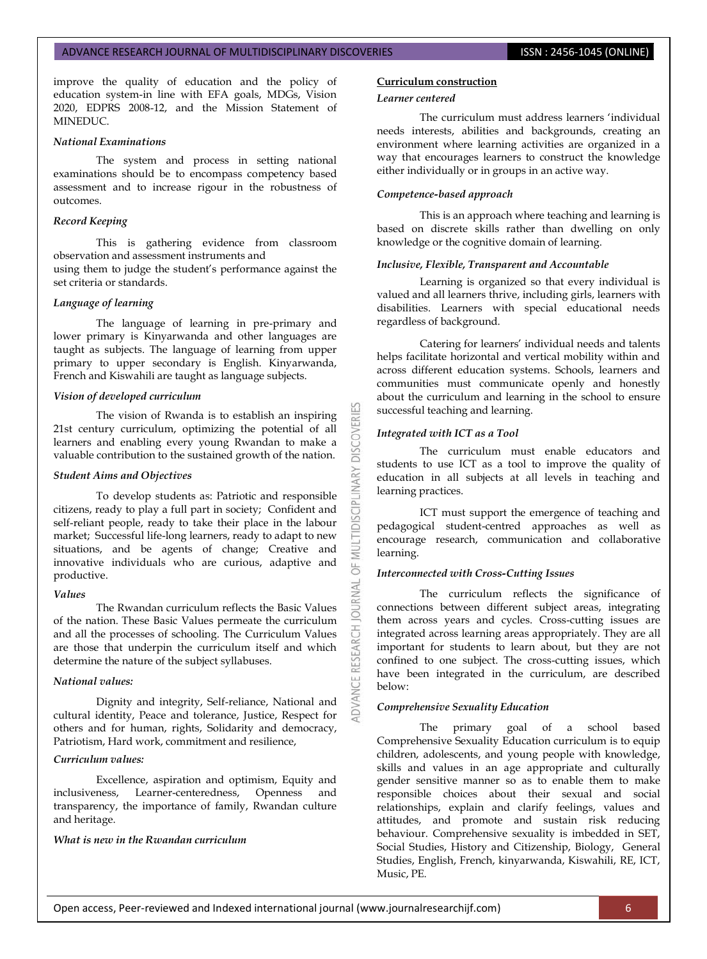improve the quality of education and the policy of education system-in line with EFA goals, MDGs, Vision 2020, EDPRS 2008-12, and the Mission Statement of MINEDUC.

## *National Examinations*

The system and process in setting national examinations should be to encompass competency based assessment and to increase rigour in the robustness of outcomes.

#### *Record Keeping*

This is gathering evidence from classroom observation and assessment instruments and using them to judge the student"s performance against the set criteria or standards.

#### *Language of learning*

The language of learning in pre-primary and lower primary is Kinyarwanda and other languages are taught as subjects. The language of learning from upper primary to upper secondary is English. Kinyarwanda, French and Kiswahili are taught as language subjects.

#### *Vision of developed curriculum*

The vision of Rwanda is to establish an inspiring 21st century curriculum, optimizing the potential of all learners and enabling every young Rwandan to make a valuable contribution to the sustained growth of the nation.

#### *Student Aims and Objectives*

To develop students as: Patriotic and responsible citizens, ready to play a full part in society; Confident and self-reliant people, ready to take their place in the labour market; Successful life-long learners, ready to adapt to new situations, and be agents of change; Creative and innovative individuals who are curious, adaptive and productive.

#### *Values*

The Rwandan curriculum reflects the Basic Values of the nation. These Basic Values permeate the curriculum and all the processes of schooling. The Curriculum Values are those that underpin the curriculum itself and which determine the nature of the subject syllabuses.

### *National values:*

Dignity and integrity, Self-reliance, National and cultural identity, Peace and tolerance, Justice, Respect for others and for human, rights, Solidarity and democracy, Patriotism, Hard work, commitment and resilience,

### *Curriculum values:*

Excellence, aspiration and optimism, Equity and inclusiveness, Learner-centeredness, Openness and transparency, the importance of family, Rwandan culture and heritage.

### *What is new in the Rwandan curriculum*

#### **Curriculum construction**

#### *Learner centered*

The curriculum must address learners "individual needs interests, abilities and backgrounds, creating an environment where learning activities are organized in a way that encourages learners to construct the knowledge either individually or in groups in an active way.

#### *Competence-based approach*

This is an approach where teaching and learning is based on discrete skills rather than dwelling on only knowledge or the cognitive domain of learning.

#### *Inclusive, Flexible, Transparent and Accountable*

Learning is organized so that every individual is valued and all learners thrive, including girls, learners with disabilities. Learners with special educational needs regardless of background.

Catering for learners' individual needs and talents helps facilitate horizontal and vertical mobility within and across different education systems. Schools, learners and communities must communicate openly and honestly about the curriculum and learning in the school to ensure successful teaching and learning.

#### *Integrated with ICT as a Tool*

**DISCOVERI** 

5

The curriculum must enable educators and students to use ICT as a tool to improve the quality of education in all subjects at all levels in teaching and learning practices.

ICT must support the emergence of teaching and pedagogical student-centred approaches as well as encourage research, communication and collaborative learning.

## *Interconnected with Cross-Cutting Issues*

The curriculum reflects the significance of connections between different subject areas, integrating them across years and cycles. Cross-cutting issues are integrated across learning areas appropriately. They are all important for students to learn about, but they are not confined to one subject. The cross-cutting issues, which have been integrated in the curriculum, are described below:

## *Comprehensive Sexuality Education*

The primary goal of a school based Comprehensive Sexuality Education curriculum is to equip children, adolescents, and young people with knowledge, skills and values in an age appropriate and culturally gender sensitive manner so as to enable them to make responsible choices about their sexual and social relationships, explain and clarify feelings, values and attitudes, and promote and sustain risk reducing behaviour. Comprehensive sexuality is imbedded in SET, Social Studies, History and Citizenship, Biology, General Studies, English, French, kinyarwanda, Kiswahili, RE, ICT, Music, PE.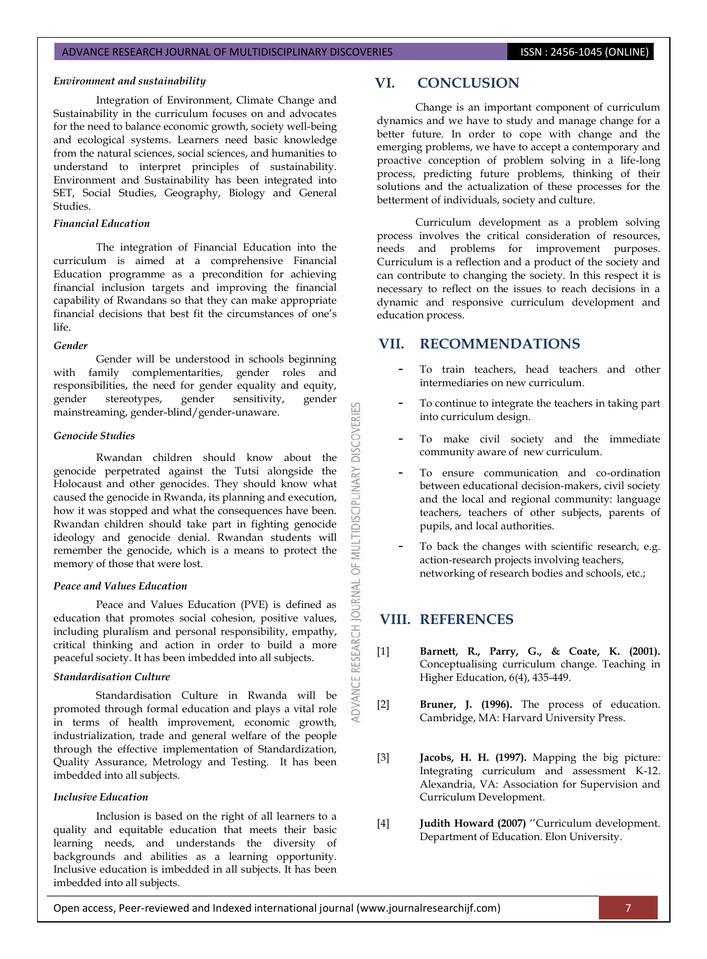#### *Environment and sustainability*

Integration of Environment, Climate Change and Sustainability in the curriculum focuses on and advocates for the need to balance economic growth, society well-being and ecological systems. Learners need basic knowledge from the natural sciences, social sciences, and humanities to understand to interpret principles of sustainability. Environment and Sustainability has been integrated into SET, Social Studies, Geography, Biology and General Studies.

#### *Financial Education*

The integration of Financial Education into the curriculum is aimed at a comprehensive Financial Education programme as a precondition for achieving financial inclusion targets and improving the financial capability of Rwandans so that they can make appropriate financial decisions that best fit the circumstances of one's life.

## *Gender*

Gender will be understood in schools beginning with family complementarities, gender roles and responsibilities, the need for gender equality and equity,<br>gender stereotypes, gender sensitivity, gender gender stereotypes, gender sensitivity, gender mainstreaming, gender-blind/gender-unaware.

#### *Genocide Studies*

Rwandan children should know about the genocide perpetrated against the Tutsi alongside the Holocaust and other genocides. They should know what caused the genocide in Rwanda, its planning and execution, how it was stopped and what the consequences have been. Rwandan children should take part in fighting genocide ideology and genocide denial. Rwandan students will remember the genocide, which is a means to protect the memory of those that were lost.

#### *Peace and Values Education*

Peace and Values Education (PVE) is defined as education that promotes social cohesion, positive values, including pluralism and personal responsibility, empathy, critical thinking and action in order to build a more peaceful society. It has been imbedded into all subjects.

#### *Standardisation Culture*

Standardisation Culture in Rwanda will be promoted through formal education and plays a vital role in terms of health improvement, economic growth, industrialization, trade and general welfare of the people through the effective implementation of Standardization, Quality Assurance, Metrology and Testing. It has been imbedded into all subjects.

#### *Inclusive Education*

Inclusion is based on the right of all learners to a quality and equitable education that meets their basic learning needs, and understands the diversity of backgrounds and abilities as a learning opportunity. Inclusive education is imbedded in all subjects. It has been imbedded into all subjects.

Change is an important component of curriculum dynamics and we have to study and manage change for a better future. In order to cope with change and the emerging problems, we have to accept a contemporary and proactive conception of problem solving in a life-long process, predicting future problems, thinking of their solutions and the actualization of these processes for the betterment of individuals, society and culture.

Curriculum development as a problem solving process involves the critical consideration of resources, needs and problems for improvement purposes. Curriculum is a reflection and a product of the society and can contribute to changing the society. In this respect it is necessary to reflect on the issues to reach decisions in a dynamic and responsive curriculum development and education process.

## **VII. RECOMMENDATIONS**

- **-** To train teachers, head teachers and other intermediaries on new curriculum.
- **-** To continue to integrate the teachers in taking part into curriculum design.
- **-** To make civil society and the immediate community aware of new curriculum.
- **-** To ensure communication and co-ordination between educational decision-makers, civil society and the local and regional community: language teachers, teachers of other subjects, parents of pupils, and local authorities.
- **-** To back the changes with scientific research, e.g. action-research projects involving teachers, networking of research bodies and schools, etc.;

# **VIII. REFERENCES**

OF MULTIDISCIPLINARY DISCOVERIES

**ADVANCE RESEARCH JOURNAL** 

- [1] **Barnett, R., Parry, G., & Coate, K. (2001).** Conceptualising curriculum change. Teaching in Higher Education, 6(4), 435-449.
- [2] **Bruner, J. (1996).** The process of education. Cambridge, MA: Harvard University Press.
- [3] **Jacobs, H. H. (1997).** Mapping the big picture: Integrating curriculum and assessment K-12. Alexandria, VA: Association for Supervision and Curriculum Development.
- [4] **Judith Howard (2007)** "Curriculum development. Department of Education. Elon University.

Open access, Peer-reviewed and Indexed international journal (www.journalresearchijf.com) 7